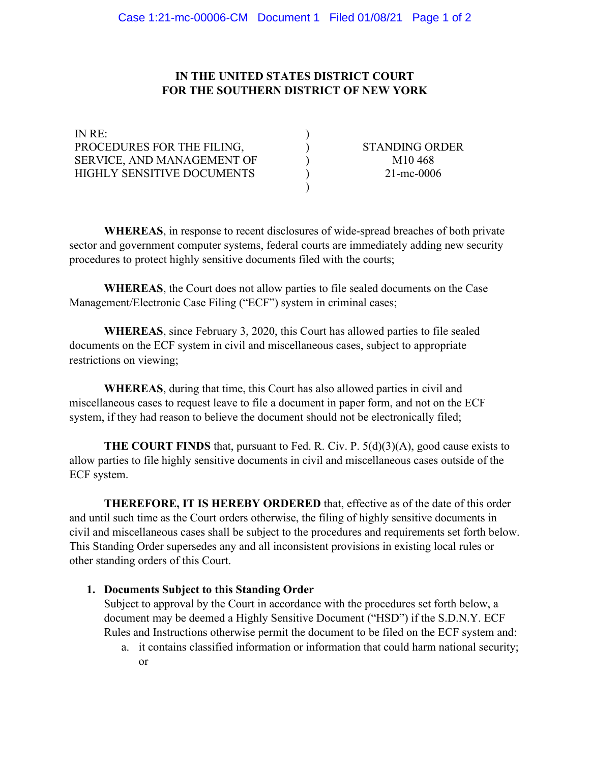## **IN THE UNITED STATES DISTRICT COURT FOR THE SOUTHERN DISTRICT OF NEW YORK**

| IN RE:                            |                       |
|-----------------------------------|-----------------------|
| PROCEDURES FOR THE FILING,        | <b>STANDING ORDER</b> |
| SERVICE, AND MANAGEMENT OF        | M <sub>10</sub> 468   |
| <b>HIGHLY SENSITIVE DOCUMENTS</b> | $21$ -mc-0006         |
|                                   |                       |

**WHEREAS**, in response to recent disclosures of wide-spread breaches of both private sector and government computer systems, federal courts are immediately adding new security procedures to protect highly sensitive documents filed with the courts;

**WHEREAS**, the Court does not allow parties to file sealed documents on the Case Management/Electronic Case Filing ("ECF") system in criminal cases;

**WHEREAS**, since February 3, 2020, this Court has allowed parties to file sealed documents on the ECF system in civil and miscellaneous cases, subject to appropriate restrictions on viewing;

**WHEREAS**, during that time, this Court has also allowed parties in civil and miscellaneous cases to request leave to file a document in paper form, and not on the ECF system, if they had reason to believe the document should not be electronically filed;

**THE COURT FINDS** that, pursuant to Fed. R. Civ. P. 5(d)(3)(A), good cause exists to allow parties to file highly sensitive documents in civil and miscellaneous cases outside of the ECF system.

**THEREFORE, IT IS HEREBY ORDERED** that, effective as of the date of this order and until such time as the Court orders otherwise, the filing of highly sensitive documents in civil and miscellaneous cases shall be subject to the procedures and requirements set forth below. This Standing Order supersedes any and all inconsistent provisions in existing local rules or other standing orders of this Court.

#### **1. Documents Subject to this Standing Order**

Subject to approval by the Court in accordance with the procedures set forth below, a document may be deemed a Highly Sensitive Document ("HSD") if the S.D.N.Y. ECF Rules and Instructions otherwise permit the document to be filed on the ECF system and:

a. it contains classified information or information that could harm national security; or